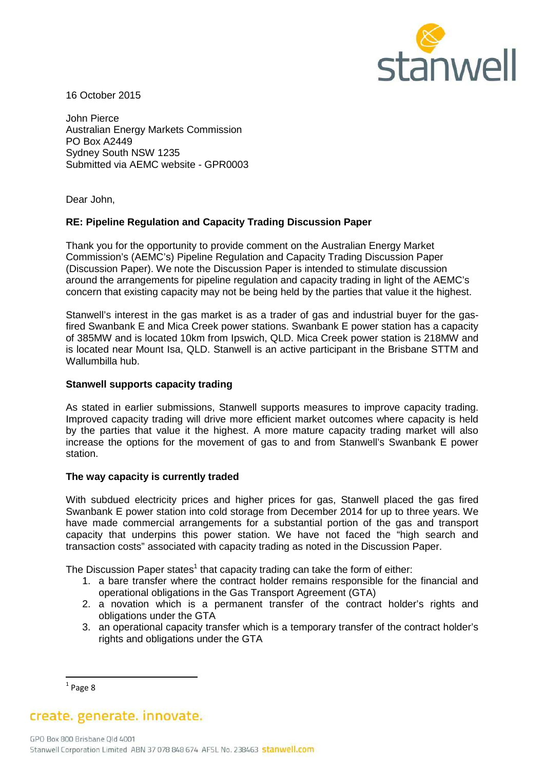

16 October 2015

John Pierce Australian Energy Markets Commission PO Box A2449 Sydney South NSW 1235 Submitted via AEMC website - GPR0003

Dear John,

## **RE: Pipeline Regulation and Capacity Trading Discussion Paper**

Thank you for the opportunity to provide comment on the Australian Energy Market Commission's (AEMC's) Pipeline Regulation and Capacity Trading Discussion Paper (Discussion Paper). We note the Discussion Paper is intended to stimulate discussion around the arrangements for pipeline regulation and capacity trading in light of the AEMC's concern that existing capacity may not be being held by the parties that value it the highest.

Stanwell's interest in the gas market is as a trader of gas and industrial buyer for the gasfired Swanbank E and Mica Creek power stations. Swanbank E power station has a capacity of 385MW and is located 10km from Ipswich, QLD. Mica Creek power station is 218MW and is located near Mount Isa, QLD. Stanwell is an active participant in the Brisbane STTM and Wallumbilla hub.

### **Stanwell supports capacity trading**

As stated in earlier submissions, Stanwell supports measures to improve capacity trading. Improved capacity trading will drive more efficient market outcomes where capacity is held by the parties that value it the highest. A more mature capacity trading market will also increase the options for the movement of gas to and from Stanwell's Swanbank E power station.

#### **The way capacity is currently traded**

With subdued electricity prices and higher prices for gas, Stanwell placed the gas fired Swanbank E power station into cold storage from December 2014 for up to three years. We have made commercial arrangements for a substantial portion of the gas and transport capacity that underpins this power station. We have not faced the "high search and transaction costs" associated with capacity trading as noted in the Discussion Paper.

The Discussion Paper states<sup>1</sup> that capacity trading can take the form of either:

- 1. a bare transfer where the contract holder remains responsible for the financial and operational obligations in the Gas Transport Agreement (GTA)
- 2. a novation which is a permanent transfer of the contract holder's rights and obligations under the GTA
- 3. an operational capacity transfer which is a temporary transfer of the contract holder's rights and obligations under the GTA

l

create. generate. innovate.

 $<sup>1</sup>$  Page 8</sup>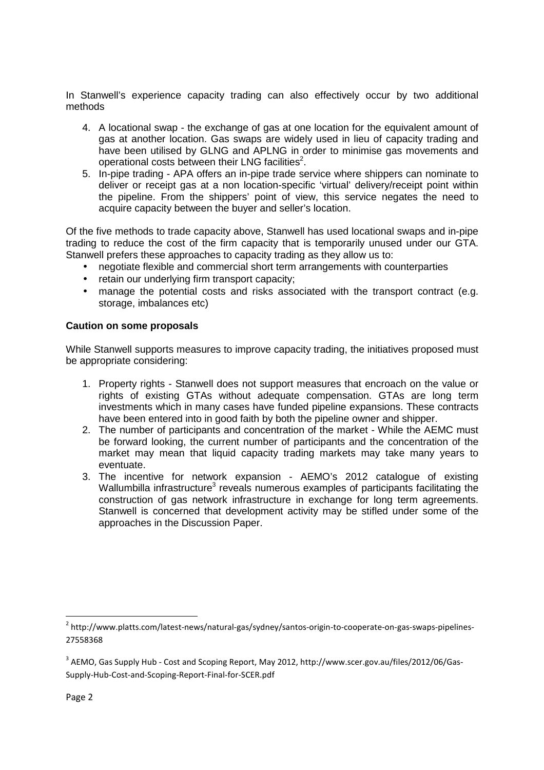In Stanwell's experience capacity trading can also effectively occur by two additional methods

- 4. A locational swap the exchange of gas at one location for the equivalent amount of gas at another location. Gas swaps are widely used in lieu of capacity trading and have been utilised by GLNG and APLNG in order to minimise gas movements and operational costs between their LNG facilities<sup>2</sup>.
- 5. In-pipe trading APA offers an in-pipe trade service where shippers can nominate to deliver or receipt gas at a non location-specific 'virtual' delivery/receipt point within the pipeline. From the shippers' point of view, this service negates the need to acquire capacity between the buyer and seller's location.

Of the five methods to trade capacity above, Stanwell has used locational swaps and in-pipe trading to reduce the cost of the firm capacity that is temporarily unused under our GTA. Stanwell prefers these approaches to capacity trading as they allow us to:

- negotiate flexible and commercial short term arrangements with counterparties
- retain our underlying firm transport capacity;
- manage the potential costs and risks associated with the transport contract (e.g. storage, imbalances etc)

## **Caution on some proposals**

While Stanwell supports measures to improve capacity trading, the initiatives proposed must be appropriate considering:

- 1. Property rights Stanwell does not support measures that encroach on the value or rights of existing GTAs without adequate compensation. GTAs are long term investments which in many cases have funded pipeline expansions. These contracts have been entered into in good faith by both the pipeline owner and shipper.
- 2. The number of participants and concentration of the market While the AEMC must be forward looking, the current number of participants and the concentration of the market may mean that liquid capacity trading markets may take many years to eventuate.
- 3. The incentive for network expansion AEMO's 2012 catalogue of existing Wallumbilla infrastructure<sup>3</sup> reveals numerous examples of participants facilitating the construction of gas network infrastructure in exchange for long term agreements. Stanwell is concerned that development activity may be stifled under some of the approaches in the Discussion Paper.

 $\overline{\phantom{0}}$ 

<sup>&</sup>lt;sup>2</sup> http://www.platts.com/latest-news/natural-gas/sydney/santos-origin-to-cooperate-on-gas-swaps-pipelines-27558368

 $^3$  AEMO, Gas Supply Hub - Cost and Scoping Report, May 2012, http://www.scer.gov.au/files/2012/06/Gas-Supply-Hub-Cost-and-Scoping-Report-Final-for-SCER.pdf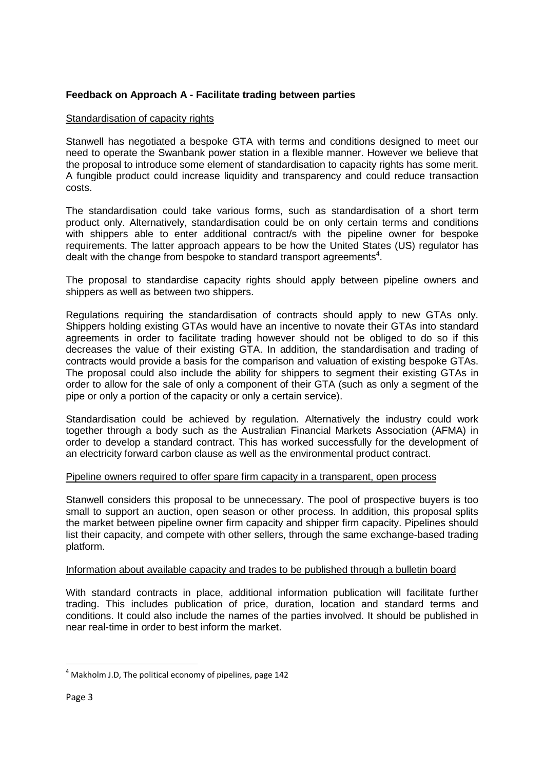# **Feedback on Approach A - Facilitate trading between parties**

## Standardisation of capacity rights

Stanwell has negotiated a bespoke GTA with terms and conditions designed to meet our need to operate the Swanbank power station in a flexible manner. However we believe that the proposal to introduce some element of standardisation to capacity rights has some merit. A fungible product could increase liquidity and transparency and could reduce transaction costs.

The standardisation could take various forms, such as standardisation of a short term product only. Alternatively, standardisation could be on only certain terms and conditions with shippers able to enter additional contract/s with the pipeline owner for bespoke requirements. The latter approach appears to be how the United States (US) regulator has dealt with the change from bespoke to standard transport agreements<sup>4</sup>.

The proposal to standardise capacity rights should apply between pipeline owners and shippers as well as between two shippers.

Regulations requiring the standardisation of contracts should apply to new GTAs only. Shippers holding existing GTAs would have an incentive to novate their GTAs into standard agreements in order to facilitate trading however should not be obliged to do so if this decreases the value of their existing GTA. In addition, the standardisation and trading of contracts would provide a basis for the comparison and valuation of existing bespoke GTAs. The proposal could also include the ability for shippers to segment their existing GTAs in order to allow for the sale of only a component of their GTA (such as only a segment of the pipe or only a portion of the capacity or only a certain service).

Standardisation could be achieved by regulation. Alternatively the industry could work together through a body such as the Australian Financial Markets Association (AFMA) in order to develop a standard contract. This has worked successfully for the development of an electricity forward carbon clause as well as the environmental product contract.

## Pipeline owners required to offer spare firm capacity in a transparent, open process

Stanwell considers this proposal to be unnecessary. The pool of prospective buyers is too small to support an auction, open season or other process. In addition, this proposal splits the market between pipeline owner firm capacity and shipper firm capacity. Pipelines should list their capacity, and compete with other sellers, through the same exchange-based trading platform.

## Information about available capacity and trades to be published through a bulletin board

With standard contracts in place, additional information publication will facilitate further trading. This includes publication of price, duration, location and standard terms and conditions. It could also include the names of the parties involved. It should be published in near real-time in order to best inform the market.

l

 $<sup>4</sup>$  Makholm J.D, The political economy of pipelines, page 142</sup>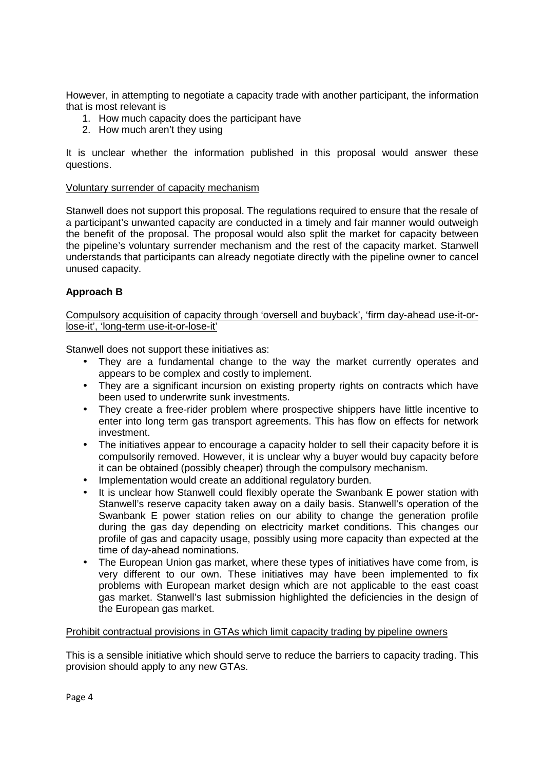However, in attempting to negotiate a capacity trade with another participant, the information that is most relevant is

- 1. How much capacity does the participant have
- 2. How much aren't they using

It is unclear whether the information published in this proposal would answer these questions.

### Voluntary surrender of capacity mechanism

Stanwell does not support this proposal. The regulations required to ensure that the resale of a participant's unwanted capacity are conducted in a timely and fair manner would outweigh the benefit of the proposal. The proposal would also split the market for capacity between the pipeline's voluntary surrender mechanism and the rest of the capacity market. Stanwell understands that participants can already negotiate directly with the pipeline owner to cancel unused capacity.

## **Approach B**

Compulsory acquisition of capacity through 'oversell and buyback', 'firm day-ahead use-it-orlose-it', 'long-term use-it-or-lose-it'

Stanwell does not support these initiatives as:

- They are a fundamental change to the way the market currently operates and appears to be complex and costly to implement.
- They are a significant incursion on existing property rights on contracts which have been used to underwrite sunk investments.
- They create a free-rider problem where prospective shippers have little incentive to enter into long term gas transport agreements. This has flow on effects for network investment.
- The initiatives appear to encourage a capacity holder to sell their capacity before it is compulsorily removed. However, it is unclear why a buyer would buy capacity before it can be obtained (possibly cheaper) through the compulsory mechanism.
- Implementation would create an additional regulatory burden.
- It is unclear how Stanwell could flexibly operate the Swanbank E power station with Stanwell's reserve capacity taken away on a daily basis. Stanwell's operation of the Swanbank E power station relies on our ability to change the generation profile during the gas day depending on electricity market conditions. This changes our profile of gas and capacity usage, possibly using more capacity than expected at the time of day-ahead nominations.
- The European Union gas market, where these types of initiatives have come from, is very different to our own. These initiatives may have been implemented to fix problems with European market design which are not applicable to the east coast gas market. Stanwell's last submission highlighted the deficiencies in the design of the European gas market.

#### Prohibit contractual provisions in GTAs which limit capacity trading by pipeline owners

This is a sensible initiative which should serve to reduce the barriers to capacity trading. This provision should apply to any new GTAs.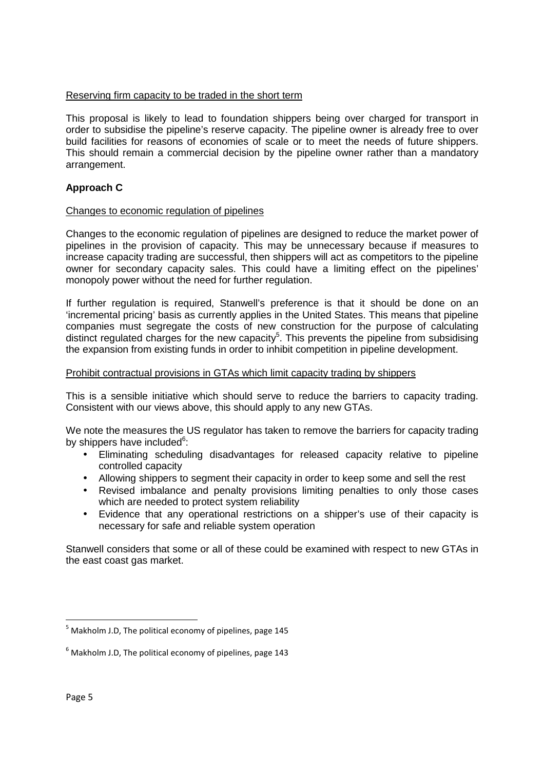### Reserving firm capacity to be traded in the short term

This proposal is likely to lead to foundation shippers being over charged for transport in order to subsidise the pipeline's reserve capacity. The pipeline owner is already free to over build facilities for reasons of economies of scale or to meet the needs of future shippers. This should remain a commercial decision by the pipeline owner rather than a mandatory arrangement.

## **Approach C**

### Changes to economic regulation of pipelines

Changes to the economic regulation of pipelines are designed to reduce the market power of pipelines in the provision of capacity. This may be unnecessary because if measures to increase capacity trading are successful, then shippers will act as competitors to the pipeline owner for secondary capacity sales. This could have a limiting effect on the pipelines' monopoly power without the need for further regulation.

If further regulation is required, Stanwell's preference is that it should be done on an 'incremental pricing' basis as currently applies in the United States. This means that pipeline companies must segregate the costs of new construction for the purpose of calculating distinct regulated charges for the new capacity<sup>5</sup>. This prevents the pipeline from subsidising the expansion from existing funds in order to inhibit competition in pipeline development.

#### Prohibit contractual provisions in GTAs which limit capacity trading by shippers

This is a sensible initiative which should serve to reduce the barriers to capacity trading. Consistent with our views above, this should apply to any new GTAs.

We note the measures the US regulator has taken to remove the barriers for capacity trading by shippers have included<sup>6</sup>:

- Eliminating scheduling disadvantages for released capacity relative to pipeline controlled capacity
- Allowing shippers to segment their capacity in order to keep some and sell the rest
- Revised imbalance and penalty provisions limiting penalties to only those cases which are needed to protect system reliability
- Evidence that any operational restrictions on a shipper's use of their capacity is necessary for safe and reliable system operation

Stanwell considers that some or all of these could be examined with respect to new GTAs in the east coast gas market.

 $\overline{\phantom{0}}$ 

<sup>&</sup>lt;sup>5</sup> Makholm J.D, The political economy of pipelines, page 145

 $^6$  Makholm J.D, The political economy of pipelines, page 143